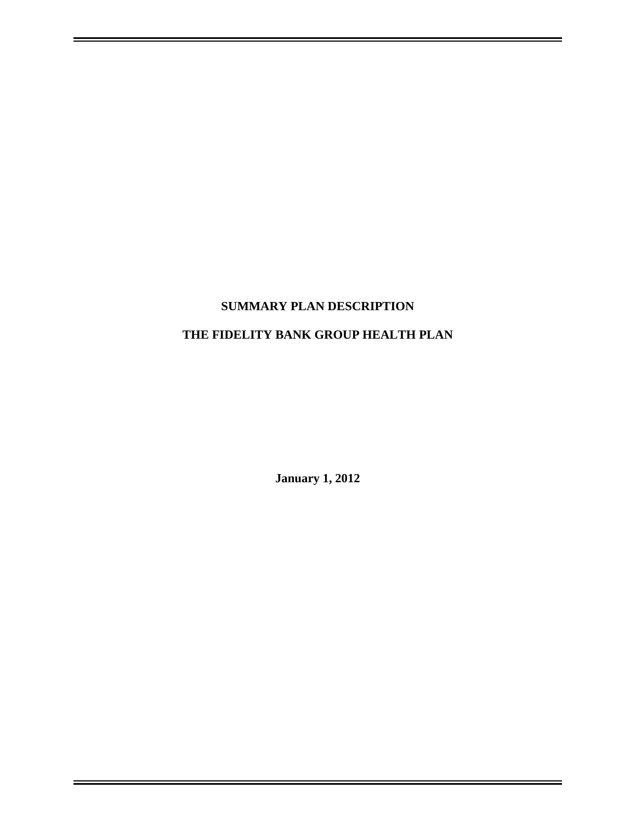# **SUMMARY PLAN DESCRIPTION**

## **THE FIDELITY BANK GROUP HEALTH PLAN**

**January 1, 2012**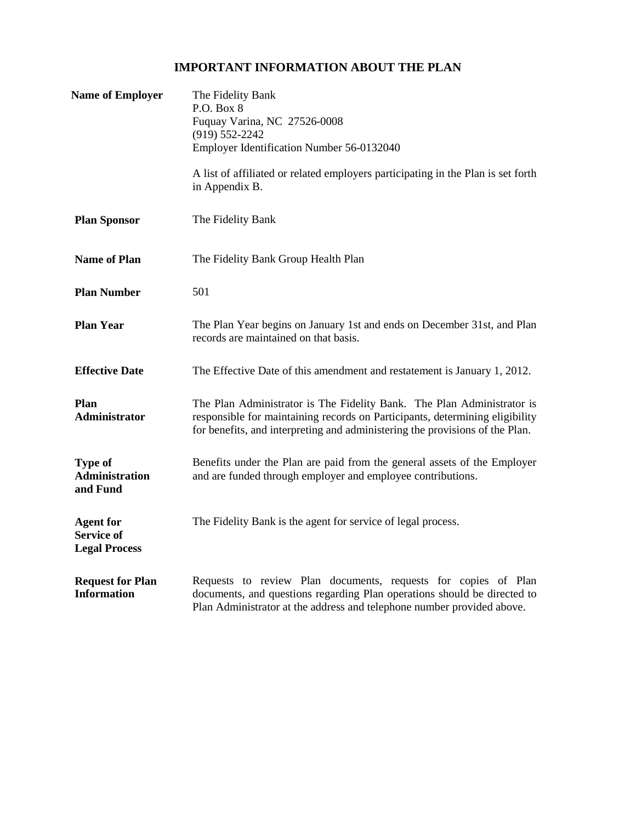## **IMPORTANT INFORMATION ABOUT THE PLAN**

| <b>Name of Employer</b>                                       | The Fidelity Bank<br>P.O. Box 8<br>Fuquay Varina, NC 27526-0008<br>$(919) 552 - 2242$<br>Employer Identification Number 56-0132040<br>A list of affiliated or related employers participating in the Plan is set forth<br>in Appendix B. |  |
|---------------------------------------------------------------|------------------------------------------------------------------------------------------------------------------------------------------------------------------------------------------------------------------------------------------|--|
|                                                               |                                                                                                                                                                                                                                          |  |
| <b>Plan Sponsor</b>                                           | The Fidelity Bank                                                                                                                                                                                                                        |  |
| <b>Name of Plan</b>                                           | The Fidelity Bank Group Health Plan                                                                                                                                                                                                      |  |
| <b>Plan Number</b>                                            | 501                                                                                                                                                                                                                                      |  |
| <b>Plan Year</b>                                              | The Plan Year begins on January 1st and ends on December 31st, and Plan<br>records are maintained on that basis.                                                                                                                         |  |
| <b>Effective Date</b>                                         | The Effective Date of this amendment and restatement is January 1, 2012.                                                                                                                                                                 |  |
| Plan<br><b>Administrator</b>                                  | The Plan Administrator is The Fidelity Bank. The Plan Administrator is<br>responsible for maintaining records on Participants, determining eligibility<br>for benefits, and interpreting and administering the provisions of the Plan.   |  |
| <b>Type of</b><br><b>Administration</b><br>and Fund           | Benefits under the Plan are paid from the general assets of the Employer<br>and are funded through employer and employee contributions.                                                                                                  |  |
| <b>Agent for</b><br><b>Service of</b><br><b>Legal Process</b> | The Fidelity Bank is the agent for service of legal process.                                                                                                                                                                             |  |
| <b>Request for Plan</b><br><b>Information</b>                 | Requests to review Plan documents, requests for copies of Plan<br>documents, and questions regarding Plan operations should be directed to<br>Plan Administrator at the address and telephone number provided above.                     |  |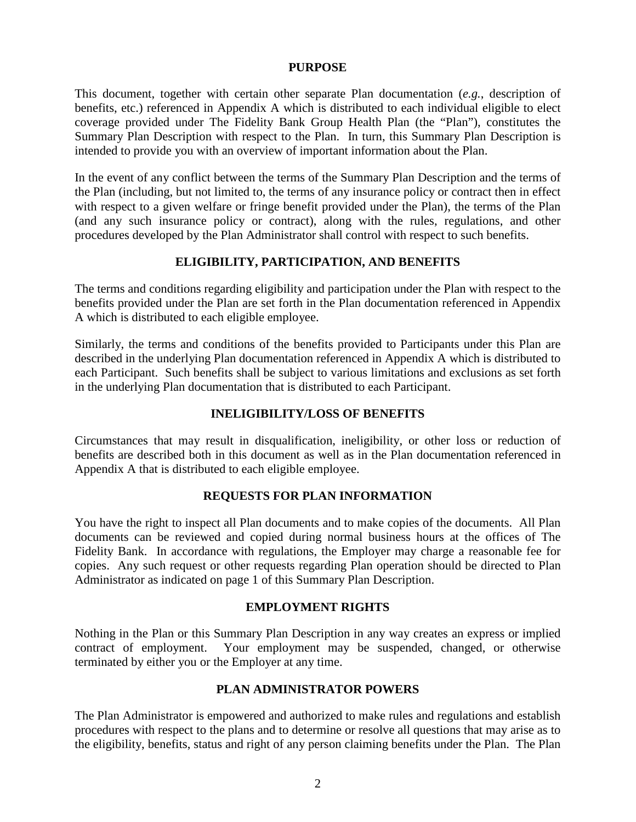#### **PURPOSE**

This document, together with certain other separate Plan documentation (*e.g.*, description of benefits, etc.) referenced in Appendix A which is distributed to each individual eligible to elect coverage provided under The Fidelity Bank Group Health Plan (the "Plan"), constitutes the Summary Plan Description with respect to the Plan. In turn, this Summary Plan Description is intended to provide you with an overview of important information about the Plan.

In the event of any conflict between the terms of the Summary Plan Description and the terms of the Plan (including, but not limited to, the terms of any insurance policy or contract then in effect with respect to a given welfare or fringe benefit provided under the Plan), the terms of the Plan (and any such insurance policy or contract), along with the rules, regulations, and other procedures developed by the Plan Administrator shall control with respect to such benefits.

### **ELIGIBILITY, PARTICIPATION, AND BENEFITS**

The terms and conditions regarding eligibility and participation under the Plan with respect to the benefits provided under the Plan are set forth in the Plan documentation referenced in Appendix A which is distributed to each eligible employee.

Similarly, the terms and conditions of the benefits provided to Participants under this Plan are described in the underlying Plan documentation referenced in Appendix A which is distributed to each Participant. Such benefits shall be subject to various limitations and exclusions as set forth in the underlying Plan documentation that is distributed to each Participant.

#### **INELIGIBILITY/LOSS OF BENEFITS**

Circumstances that may result in disqualification, ineligibility, or other loss or reduction of benefits are described both in this document as well as in the Plan documentation referenced in Appendix A that is distributed to each eligible employee.

### **REQUESTS FOR PLAN INFORMATION**

You have the right to inspect all Plan documents and to make copies of the documents. All Plan documents can be reviewed and copied during normal business hours at the offices of The Fidelity Bank. In accordance with regulations, the Employer may charge a reasonable fee for copies. Any such request or other requests regarding Plan operation should be directed to Plan Administrator as indicated on page 1 of this Summary Plan Description.

#### **EMPLOYMENT RIGHTS**

Nothing in the Plan or this Summary Plan Description in any way creates an express or implied contract of employment. Your employment may be suspended, changed, or otherwise terminated by either you or the Employer at any time.

#### **PLAN ADMINISTRATOR POWERS**

The Plan Administrator is empowered and authorized to make rules and regulations and establish procedures with respect to the plans and to determine or resolve all questions that may arise as to the eligibility, benefits, status and right of any person claiming benefits under the Plan. The Plan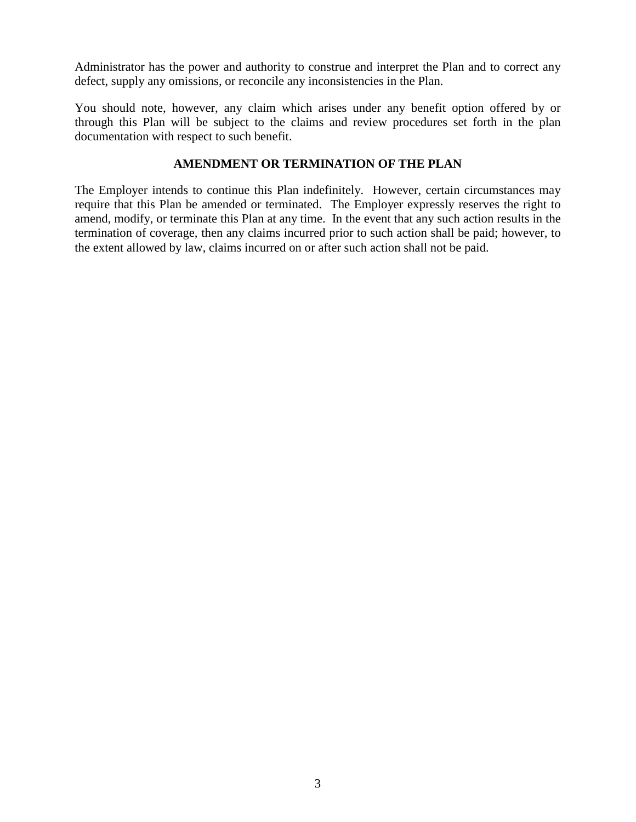Administrator has the power and authority to construe and interpret the Plan and to correct any defect, supply any omissions, or reconcile any inconsistencies in the Plan.

You should note, however, any claim which arises under any benefit option offered by or through this Plan will be subject to the claims and review procedures set forth in the plan documentation with respect to such benefit.

### **AMENDMENT OR TERMINATION OF THE PLAN**

The Employer intends to continue this Plan indefinitely. However, certain circumstances may require that this Plan be amended or terminated. The Employer expressly reserves the right to amend, modify, or terminate this Plan at any time. In the event that any such action results in the termination of coverage, then any claims incurred prior to such action shall be paid; however, to the extent allowed by law, claims incurred on or after such action shall not be paid.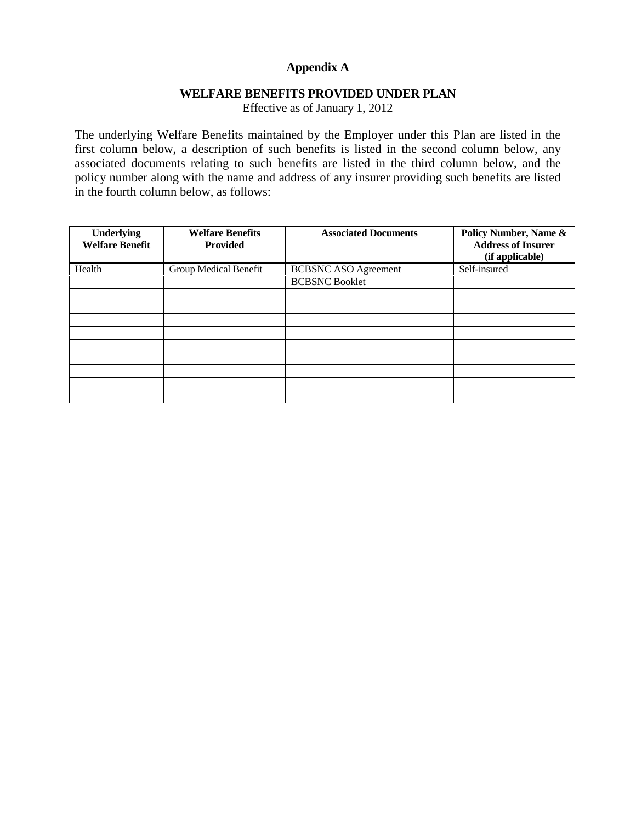## **Appendix A**

### **WELFARE BENEFITS PROVIDED UNDER PLAN**

Effective as of January 1, 2012

The underlying Welfare Benefits maintained by the Employer under this Plan are listed in the first column below, a description of such benefits is listed in the second column below, any associated documents relating to such benefits are listed in the third column below, and the policy number along with the name and address of any insurer providing such benefits are listed in the fourth column below, as follows:

| <b>Underlying</b><br><b>Welfare Benefit</b> | <b>Welfare Benefits</b><br><b>Provided</b> | <b>Associated Documents</b> | Policy Number, Name &<br><b>Address of Insurer</b><br>(if applicable) |
|---------------------------------------------|--------------------------------------------|-----------------------------|-----------------------------------------------------------------------|
| Health                                      | Group Medical Benefit                      | <b>BCBSNC ASO Agreement</b> | Self-insured                                                          |
|                                             |                                            | <b>BCBSNC Booklet</b>       |                                                                       |
|                                             |                                            |                             |                                                                       |
|                                             |                                            |                             |                                                                       |
|                                             |                                            |                             |                                                                       |
|                                             |                                            |                             |                                                                       |
|                                             |                                            |                             |                                                                       |
|                                             |                                            |                             |                                                                       |
|                                             |                                            |                             |                                                                       |
|                                             |                                            |                             |                                                                       |
|                                             |                                            |                             |                                                                       |